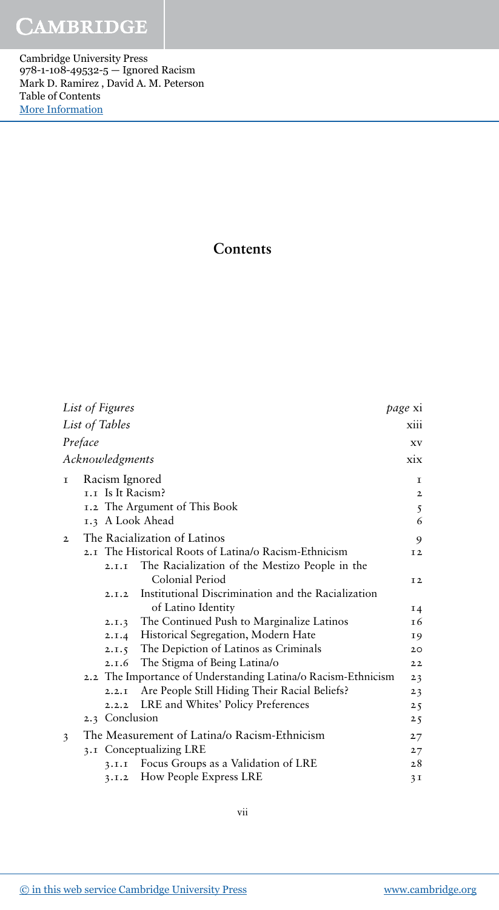Cambridge University Press 978-1-108-49532-5 — Ignored Racism Mark D. Ramirez , David A. M. Peterson Table of Contents [More Information](www.cambridge.org/9781108495325)

### **Contents**

| List of Figures |                                                               |                                                       | <i>page</i> xi |
|-----------------|---------------------------------------------------------------|-------------------------------------------------------|----------------|
| List of Tables  |                                                               |                                                       | xiii           |
| Preface         |                                                               |                                                       |                |
| Acknowledgments |                                                               |                                                       | xix            |
| $\mathbf I$     | Racism Ignored                                                |                                                       | 1              |
|                 | <b>LI</b> Is It Racism?                                       |                                                       | $\mathbf{2}$   |
|                 |                                                               | 1.2 The Argument of This Book                         | 5              |
|                 | 1.3 A Look Ahead                                              |                                                       | 6              |
| $\mathbf{2}$    |                                                               | The Racialization of Latinos                          | 9              |
|                 |                                                               | 2.1 The Historical Roots of Latina/o Racism-Ethnicism | I <sub>2</sub> |
|                 | 2.I.I                                                         | The Racialization of the Mestizo People in the        |                |
|                 |                                                               | Colonial Period                                       | I2             |
|                 | 2.1.2                                                         | Institutional Discrimination and the Racialization    |                |
|                 |                                                               | of Latino Identity                                    | 14             |
|                 |                                                               | 2.1.3 The Continued Push to Marginalize Latinos       | 16             |
|                 |                                                               | 2.1.4 Historical Segregation, Modern Hate             | 19             |
|                 |                                                               | 2.1.5 The Depiction of Latinos as Criminals           | 20             |
|                 | 2.1.6                                                         | The Stigma of Being Latina/o                          | 22             |
|                 | 2.2 The Importance of Understanding Latina/o Racism-Ethnicism |                                                       | 23             |
|                 | 2.2.1                                                         | Are People Still Hiding Their Racial Beliefs?         | 23             |
|                 | 2, 2, 2                                                       | LRE and Whites' Policy Preferences                    | 25             |
|                 | 2.3 Conclusion                                                |                                                       | 25             |
| 3               |                                                               | The Measurement of Latina/o Racism-Ethnicism          | 27             |
|                 | 3.1 Conceptualizing LRE                                       |                                                       |                |
|                 | 3.I.I                                                         | Focus Groups as a Validation of LRE                   | 28             |
|                 | 3.1.2                                                         | How People Express LRE                                | 3 <sub>1</sub> |

[© in this web service Cambridge University Press](www.cambridge.org) www.cambridge.org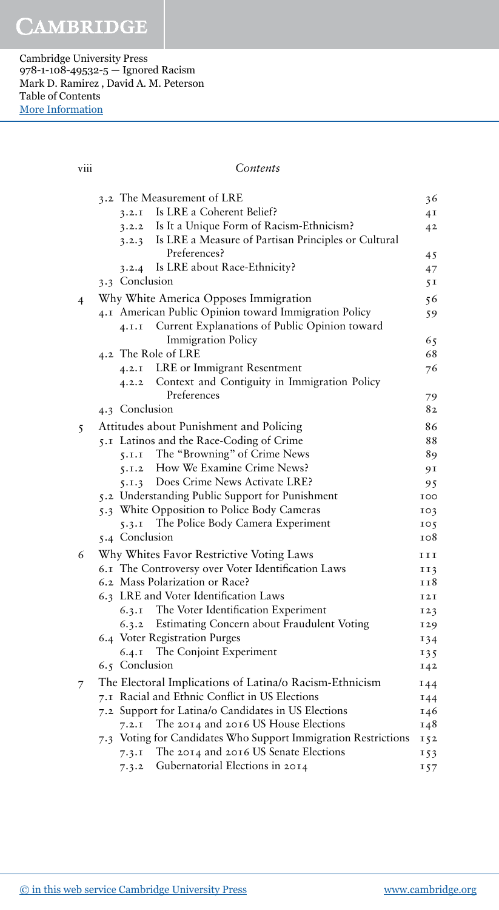Cambridge University Press 978-1-108-49532-5 — Ignored Racism Mark D. Ramirez , David A. M. Peterson Table of Contents [More Information](www.cambridge.org/9781108495325)

| viii | Contents                                                                                                |                 |
|------|---------------------------------------------------------------------------------------------------------|-----------------|
|      | 3.2 The Measurement of LRE                                                                              | 36              |
|      | Is LRE a Coherent Belief?<br>3.2.1                                                                      | 4 <sup>T</sup>  |
|      | Is It a Unique Form of Racism-Ethnicism?<br>3.2.2                                                       | 4 <sup>2</sup>  |
|      | Is LRE a Measure of Partisan Principles or Cultural<br>3.2.3                                            |                 |
|      | Preferences?                                                                                            | 45              |
|      | Is LRE about Race-Ethnicity?<br>3.2.4                                                                   | 47              |
|      | 3.3 Conclusion                                                                                          | 5I              |
| 4    | Why White America Opposes Immigration                                                                   | 56              |
|      | 4.1 American Public Opinion toward Immigration Policy                                                   | 59              |
|      | Current Explanations of Public Opinion toward<br>4.I.I                                                  |                 |
|      | <b>Immigration Policy</b>                                                                               | 65              |
|      | 4.2 The Role of LRE                                                                                     | 68              |
|      | 4.2.1 LRE or Immigrant Resentment                                                                       | 76              |
|      | Context and Contiguity in Immigration Policy<br>4.2.2                                                   |                 |
|      | Preferences                                                                                             | 79              |
|      | 4.3 Conclusion                                                                                          | 82              |
| 5    | Attitudes about Punishment and Policing                                                                 | 86              |
|      | 5.1 Latinos and the Race-Coding of Crime                                                                | 88              |
|      | The "Browning" of Crime News<br>5.1.1                                                                   | 89              |
|      | How We Examine Crime News?<br>5.1.2                                                                     | 91              |
|      | Does Crime News Activate LRE?<br>5.1.3                                                                  | 95              |
|      | 5.2 Understanding Public Support for Punishment                                                         | 100             |
|      | 5.3 White Opposition to Police Body Cameras                                                             | IO3             |
|      | The Police Body Camera Experiment<br>5.3.1                                                              | IO <sub>5</sub> |
|      | 5.4 Conclusion                                                                                          | 108             |
| 6    | Why Whites Favor Restrictive Voting Laws                                                                | <b>III</b>      |
|      | 6.1 The Controversy over Voter Identification Laws                                                      | II3             |
|      | 6.2 Mass Polarization or Race?                                                                          | 118             |
|      | 6.3 LRE and Voter Identification Laws                                                                   | <b>I2I</b>      |
|      | The Voter Identification Experiment<br>6.3.1                                                            | 123             |
|      | Estimating Concern about Fraudulent Voting<br>6.3.2<br>6.4 Voter Registration Purges                    | 129             |
|      | 6.4.1 The Conjoint Experiment                                                                           | 134             |
|      | 6.5 Conclusion                                                                                          | 135             |
|      |                                                                                                         | 142             |
| 7    | The Electoral Implications of Latina/o Racism-Ethnicism                                                 | 144             |
|      | 7.1 Racial and Ethnic Conflict in US Elections                                                          | 144             |
|      | 7.2 Support for Latina/o Candidates in US Elections                                                     | 146             |
|      | The 2014 and 2016 US House Elections<br>7.2.1                                                           | 148             |
|      | 7.3 Voting for Candidates Who Support Immigration Restrictions<br>The 2014 and 2016 US Senate Elections | 152             |
|      | 7.3.1<br>Gubernatorial Elections in 2014<br>7.3.2                                                       | 153             |
|      |                                                                                                         | <sup>157</sup>  |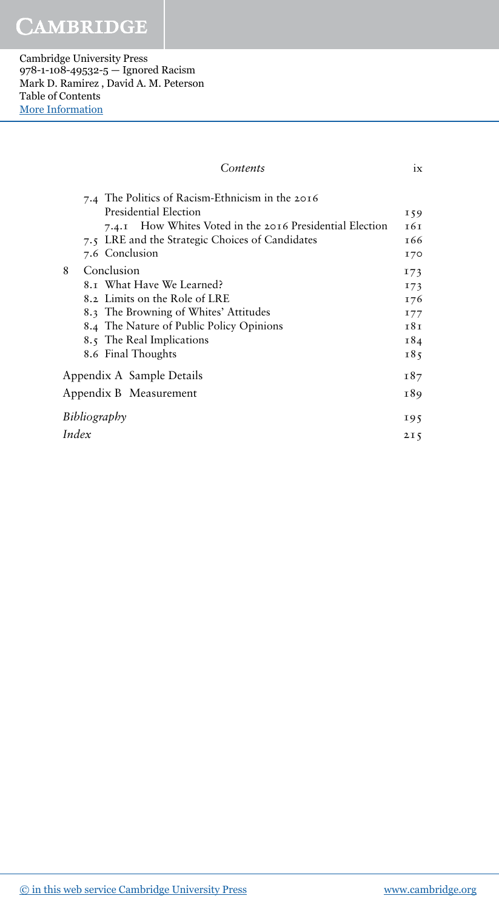Cambridge University Press 978-1-108-49532-5 — Ignored Racism Mark D. Ramirez , David A. M. Peterson Table of Contents [More Information](www.cambridge.org/9781108495325)

| Contents                                                 | ix         |  |
|----------------------------------------------------------|------------|--|
| 7.4 The Politics of Racism-Ethnicism in the 2016         |            |  |
| <b>Presidential Election</b>                             | 159        |  |
| 7.4.1 How Whites Voted in the 2016 Presidential Election | 161        |  |
| 7.5 LRE and the Strategic Choices of Candidates          | 166        |  |
| 7.6 Conclusion                                           | 170        |  |
| Conclusion                                               |            |  |
| 8.1 What Have We Learned?                                | 173        |  |
| 8.2 Limits on the Role of LRE                            | 176        |  |
| 8.3 The Browning of Whites' Attitudes                    | <b>177</b> |  |
| 8.4 The Nature of Public Policy Opinions                 | 181        |  |
| 8.5 The Real Implications                                | 184        |  |
| 8.6 Final Thoughts                                       | 185        |  |
| Appendix A Sample Details                                |            |  |
| Appendix B Measurement                                   |            |  |
| Bibliography                                             |            |  |
| Index                                                    |            |  |
|                                                          |            |  |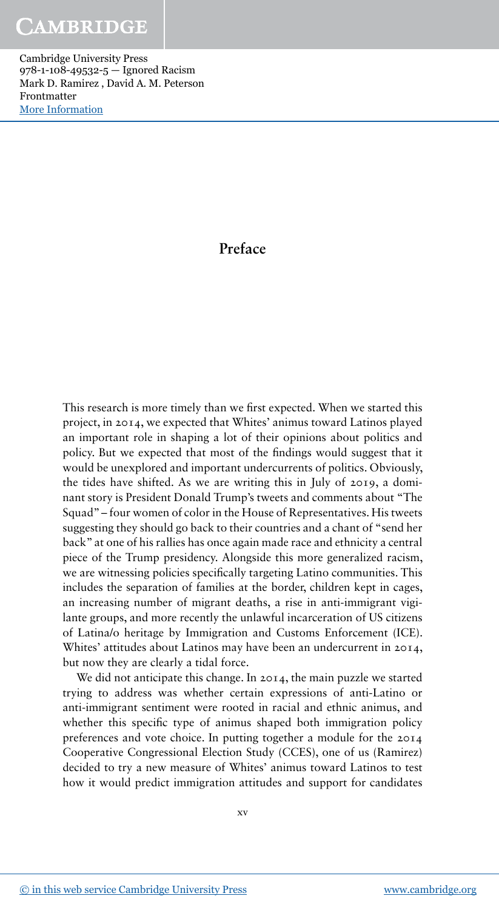Cambridge University Press 978-1-108-49532-5 — Ignored Racism Mark D. Ramirez , David A. M. Peterson Frontmatter [More Information](www.cambridge.org/9781108495325)

### **Preface**

This research is more timely than we first expected. When we started this project, in 2014, we expected that Whites' animus toward Latinos played an important role in shaping a lot of their opinions about politics and policy. But we expected that most of the findings would suggest that it would be unexplored and important undercurrents of politics. Obviously, the tides have shifted. As we are writing this in July of 2019, a dominant story is President Donald Trump's tweets and comments about "The Squad" – four women of color in the House of Representatives. His tweets suggesting they should go back to their countries and a chant of "send her back" at one of his rallies has once again made race and ethnicity a central piece of the Trump presidency. Alongside this more generalized racism, we are witnessing policies specifically targeting Latino communities. This includes the separation of families at the border, children kept in cages, an increasing number of migrant deaths, a rise in anti-immigrant vigilante groups, and more recently the unlawful incarceration of US citizens of Latina/o heritage by Immigration and Customs Enforcement (ICE). Whites' attitudes about Latinos may have been an undercurrent in 2014, but now they are clearly a tidal force.

We did not anticipate this change. In 2014, the main puzzle we started trying to address was whether certain expressions of anti-Latino or anti-immigrant sentiment were rooted in racial and ethnic animus, and whether this specific type of animus shaped both immigration policy preferences and vote choice. In putting together a module for the 2014 Cooperative Congressional Election Study (CCES), one of us (Ramirez) decided to try a new measure of Whites' animus toward Latinos to test how it would predict immigration attitudes and support for candidates

xv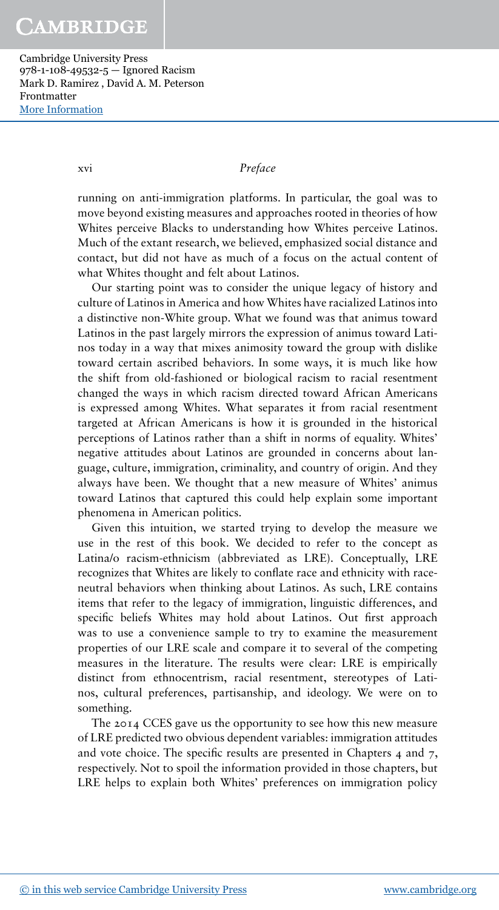Cambridge University Press 978-1-108-49532-5 — Ignored Racism Mark D. Ramirez , David A. M. Peterson Frontmatter [More Information](www.cambridge.org/9781108495325)

#### xvi *Preface*

running on anti-immigration platforms. In particular, the goal was to move beyond existing measures and approaches rooted in theories of how Whites perceive Blacks to understanding how Whites perceive Latinos. Much of the extant research, we believed, emphasized social distance and contact, but did not have as much of a focus on the actual content of what Whites thought and felt about Latinos.

Our starting point was to consider the unique legacy of history and culture of Latinos in America and how Whites have racialized Latinos into a distinctive non-White group. What we found was that animus toward Latinos in the past largely mirrors the expression of animus toward Latinos today in a way that mixes animosity toward the group with dislike toward certain ascribed behaviors. In some ways, it is much like how the shift from old-fashioned or biological racism to racial resentment changed the ways in which racism directed toward African Americans is expressed among Whites. What separates it from racial resentment targeted at African Americans is how it is grounded in the historical perceptions of Latinos rather than a shift in norms of equality. Whites' negative attitudes about Latinos are grounded in concerns about language, culture, immigration, criminality, and country of origin. And they always have been. We thought that a new measure of Whites' animus toward Latinos that captured this could help explain some important phenomena in American politics.

Given this intuition, we started trying to develop the measure we use in the rest of this book. We decided to refer to the concept as Latina/o racism-ethnicism (abbreviated as LRE). Conceptually, LRE recognizes that Whites are likely to conflate race and ethnicity with raceneutral behaviors when thinking about Latinos. As such, LRE contains items that refer to the legacy of immigration, linguistic differences, and specific beliefs Whites may hold about Latinos. Out first approach was to use a convenience sample to try to examine the measurement properties of our LRE scale and compare it to several of the competing measures in the literature. The results were clear: LRE is empirically distinct from ethnocentrism, racial resentment, stereotypes of Latinos, cultural preferences, partisanship, and ideology. We were on to something.

The 2014 CCES gave us the opportunity to see how this new measure of LRE predicted two obvious dependent variables: immigration attitudes and vote choice. The specific results are presented in Chapters  $4$  and  $7$ , respectively. Not to spoil the information provided in those chapters, but LRE helps to explain both Whites' preferences on immigration policy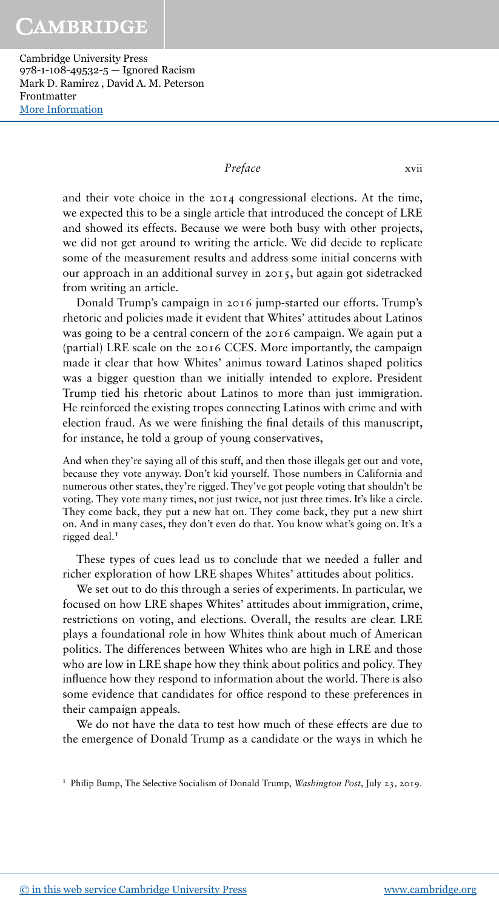Cambridge University Press 978-1-108-49532-5 — Ignored Racism Mark D. Ramirez , David A. M. Peterson Frontmatter [More Information](www.cambridge.org/9781108495325)

#### *Preface* xvii

and their vote choice in the 2014 congressional elections. At the time, we expected this to be a single article that introduced the concept of LRE and showed its effects. Because we were both busy with other projects, we did not get around to writing the article. We did decide to replicate some of the measurement results and address some initial concerns with our approach in an additional survey in 2015, but again got sidetracked from writing an article.

Donald Trump's campaign in 2016 jump-started our efforts. Trump's rhetoric and policies made it evident that Whites' attitudes about Latinos was going to be a central concern of the 2016 campaign. We again put a (partial) LRE scale on the 2016 CCES. More importantly, the campaign made it clear that how Whites' animus toward Latinos shaped politics was a bigger question than we initially intended to explore. President Trump tied his rhetoric about Latinos to more than just immigration. He reinforced the existing tropes connecting Latinos with crime and with election fraud. As we were finishing the final details of this manuscript, for instance, he told a group of young conservatives,

And when they're saying all of this stuff, and then those illegals get out and vote, because they vote anyway. Don't kid yourself. Those numbers in California and numerous other states, they're rigged. They've got people voting that shouldn't be voting. They vote many times, not just twice, not just three times. It's like a circle. They come back, they put a new hat on. They come back, they put a new shirt on. And in many cases, they don't even do that. You know what's going on. It's a rigged deal.<sup>1</sup>

These types of cues lead us to conclude that we needed a fuller and richer exploration of how LRE shapes Whites' attitudes about politics.

We set out to do this through a series of experiments. In particular, we focused on how LRE shapes Whites' attitudes about immigration, crime, restrictions on voting, and elections. Overall, the results are clear. LRE plays a foundational role in how Whites think about much of American politics. The differences between Whites who are high in LRE and those who are low in LRE shape how they think about politics and policy. They inluence how they respond to information about the world. There is also some evidence that candidates for ofice respond to these preferences in their campaign appeals.

We do not have the data to test how much of these effects are due to the emergence of Donald Trump as a candidate or the ways in which he

<sup>1</sup> Philip Bump, The Selective Socialism of Donald Trump, *Washington Post*, July 23, 2019.